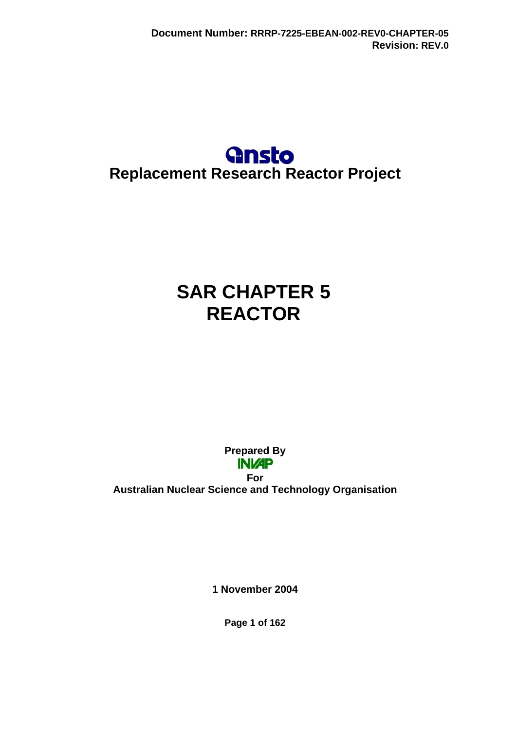

# **SAR CHAPTER 5 REACTOR**

**Prepared By INI/AP** 

**For Australian Nuclear Science and Technology Organisation** 

**1 November 2004** 

**Page 1 of 162**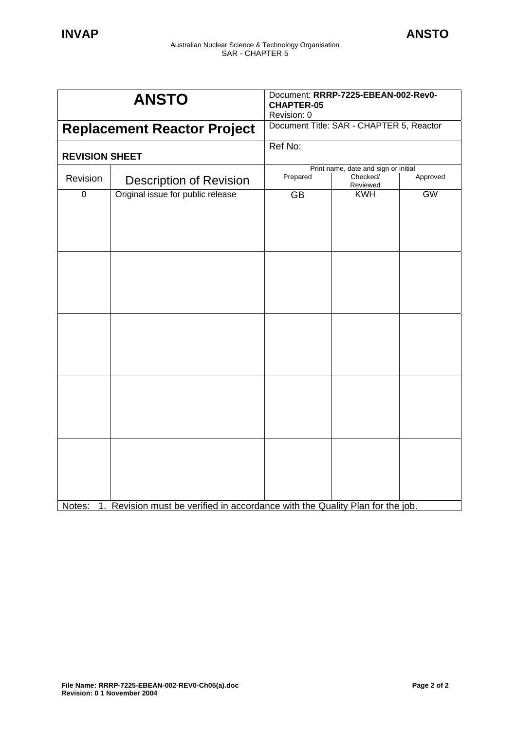| <b>ANSTO</b>                       |                                                                               | Document: RRRP-7225-EBEAN-002-Rev0-<br><b>CHAPTER-05</b><br>Revision: 0 |                      |           |
|------------------------------------|-------------------------------------------------------------------------------|-------------------------------------------------------------------------|----------------------|-----------|
| <b>Replacement Reactor Project</b> |                                                                               | Document Title: SAR - CHAPTER 5, Reactor                                |                      |           |
| <b>REVISION SHEET</b>              |                                                                               | Ref No:                                                                 |                      |           |
|                                    |                                                                               | Print name, date and sign or initial                                    |                      |           |
| Revision                           | <b>Description of Revision</b>                                                | Prepared                                                                | Checked/<br>Reviewed | Approved  |
| $\overline{0}$                     | Original issue for public release                                             | <b>GB</b>                                                               | <b>KWH</b>           | <b>GW</b> |
|                                    |                                                                               |                                                                         |                      |           |
|                                    |                                                                               |                                                                         |                      |           |
|                                    |                                                                               |                                                                         |                      |           |
| Notes:                             | 1. Revision must be verified in accordance with the Quality Plan for the job. |                                                                         |                      |           |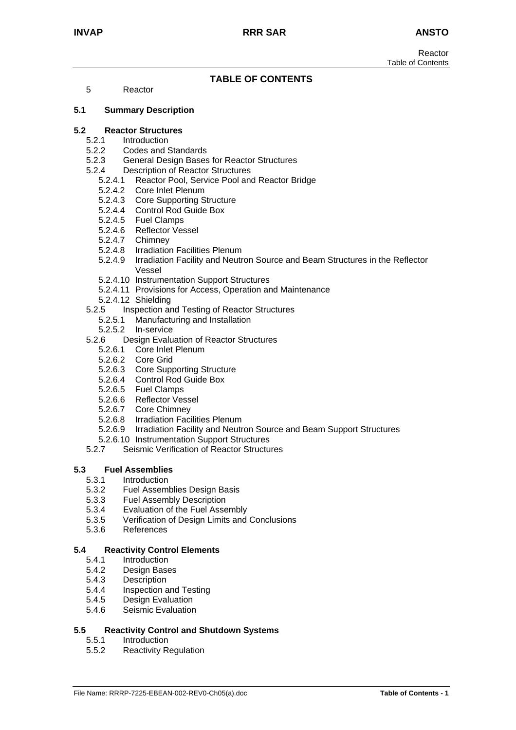# **TABLE OF CONTENTS**

5 Reactor

#### **5.1 Summary Description**

#### **5.2 Reactor Structures**

- 5.2.1 Introduction
- 5.2.2 Codes and Standards<br>5.2.3 General Design Bases
- 5.2.3 General Design Bases for Reactor Structures
- 5.2.4 Description of Reactor Structures
	- 5.2.4.1 Reactor Pool, Service Pool and Reactor Bridge
	- 5.2.4.2 Core Inlet Plenum
	- 5.2.4.3 Core Supporting Structure
	- 5.2.4.4 Control Rod Guide Box
	- 5.2.4.5 Fuel Clamps
	- 5.2.4.6 Reflector Vessel
	- 5.2.4.7 Chimney
	- 5.2.4.8 Irradiation Facilities Plenum
	- 5.2.4.9 Irradiation Facility and Neutron Source and Beam Structures in the Reflector Vessel
	- 5.2.4.10 Instrumentation Support Structures
	- 5.2.4.11 Provisions for Access, Operation and Maintenance
	- 5.2.4.12 Shielding
- 5.2.5 Inspection and Testing of Reactor Structures
	- 5.2.5.1 Manufacturing and Installation
	- 5.2.5.2 In-service
- 5.2.6 Design Evaluation of Reactor Structures
	- 5.2.6.1 Core Inlet Plenum
	- 5.2.6.2 Core Grid
	- 5.2.6.3 Core Supporting Structure
	- 5.2.6.4 Control Rod Guide Box
	- 5.2.6.5 Fuel Clamps
	- 5.2.6.6 Reflector Vessel
	- 5.2.6.7 Core Chimney
	- 5.2.6.8 Irradiation Facilities Plenum
	- 5.2.6.9 Irradiation Facility and Neutron Source and Beam Support Structures
- 5.2.6.10 Instrumentation Support Structures
- 5.2.7 Seismic Verification of Reactor Structures

#### **5.3 Fuel Assemblies**

- 5.3.1 Introduction
- 5.3.2 Fuel Assemblies Design Basis
- 5.3.3 Fuel Assembly Description
- 5.3.4 Evaluation of the Fuel Assembly
- 5.3.5 Verification of Design Limits and Conclusions
- 5.3.6 References

#### **5.4 Reactivity Control Elements**

- 5.4.1 Introduction
- 5.4.2 Design Bases
- 5.4.3 Description
- 5.4.4 Inspection and Testing
- 5.4.5 Design Evaluation
- 5.4.6 Seismic Evaluation

#### **5.5 Reactivity Control and Shutdown Systems**

- 5.5.1 Introduction
- 5.5.2 Reactivity Regulation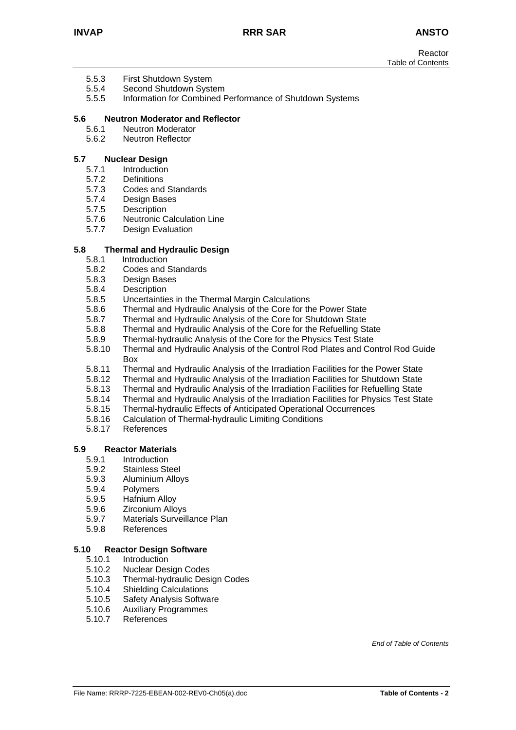- 5.5.3 First Shutdown System
- 5.5.4 Second Shutdown System
- 5.5.5 Information for Combined Performance of Shutdown Systems

#### **5.6 Neutron Moderator and Reflector**

- 5.6.1 Neutron Moderator
- 5.6.2 Neutron Reflector

#### **5.7 Nuclear Design**

- 5.7.1 Introduction<br>5.7.2 Definitions
- Definitions
- 5.7.3 Codes and Standards
- 5.7.4 Design Bases
- 5.7.5 Description
- 5.7.6 Neutronic Calculation Line
- 5.7.7 Design Evaluation

#### **5.8 Thermal and Hydraulic Design**

- 5.8.1 Introduction
- 5.8.2 Codes and Standards
- 5.8.3 Design Bases
- 5.8.4 Description
- 5.8.5 Uncertainties in the Thermal Margin Calculations
- 5.8.6 Thermal and Hydraulic Analysis of the Core for the Power State
- 5.8.7 Thermal and Hydraulic Analysis of the Core for Shutdown State
- 5.8.8 Thermal and Hydraulic Analysis of the Core for the Refuelling State
- 5.8.9 Thermal-hydraulic Analysis of the Core for the Physics Test State<br>5.8.10 Thermal and Hydraulic Analysis of the Control Rod Plates and Co
- 5.8.10 Thermal and Hydraulic Analysis of the Control Rod Plates and Control Rod Guide Box
- 5.8.11 Thermal and Hydraulic Analysis of the Irradiation Facilities for the Power State
- 5.8.12 Thermal and Hydraulic Analysis of the Irradiation Facilities for Shutdown State
- 5.8.13 Thermal and Hydraulic Analysis of the Irradiation Facilities for Refuelling State
- 5.8.14 Thermal and Hydraulic Analysis of the Irradiation Facilities for Physics Test State
- 5.8.15 Thermal-hydraulic Effects of Anticipated Operational Occurrences
- 5.8.16 Calculation of Thermal-hydraulic Limiting Conditions
- 5.8.17 References

#### **5.9 Reactor Materials**

- 5.9.1 Introduction
- 5.9.2 Stainless Steel
- 5.9.3 Aluminium Alloys
- 5.9.4 Polymers
- 5.9.5 Hafnium Alloy
- 5.9.6 Zirconium Alloys
- 5.9.7 Materials Surveillance Plan
- 5.9.8 References

#### **5.10 Reactor Design Software**

- 5.10.1 Introduction
- 5.10.2 Nuclear Design Codes
- 5.10.3 Thermal-hydraulic Design Codes
- 5.10.4 Shielding Calculations
- 5.10.5 Safety Analysis Software
- 5.10.6 Auxiliary Programmes
- 5.10.7 References

*End of Table of Contents*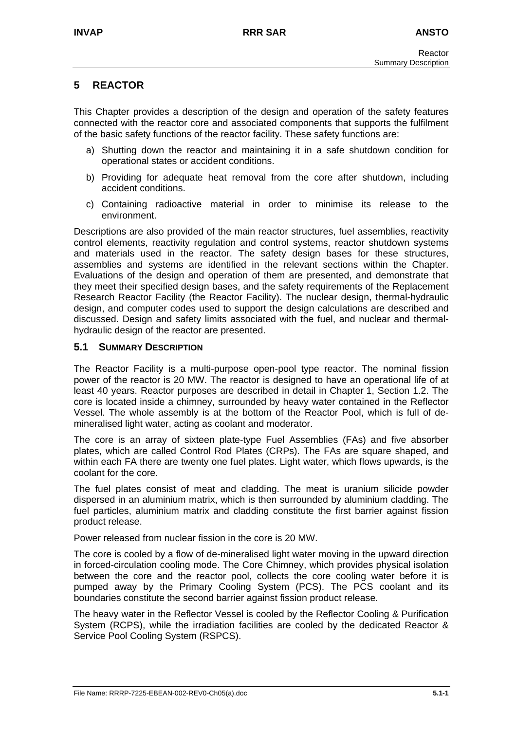# **5 REACTOR**

This Chapter provides a description of the design and operation of the safety features connected with the reactor core and associated components that supports the fulfilment of the basic safety functions of the reactor facility. These safety functions are:

- a) Shutting down the reactor and maintaining it in a safe shutdown condition for operational states or accident conditions.
- b) Providing for adequate heat removal from the core after shutdown, including accident conditions.
- c) Containing radioactive material in order to minimise its release to the environment.

Descriptions are also provided of the main reactor structures, fuel assemblies, reactivity control elements, reactivity regulation and control systems, reactor shutdown systems and materials used in the reactor. The safety design bases for these structures, assemblies and systems are identified in the relevant sections within the Chapter. Evaluations of the design and operation of them are presented, and demonstrate that they meet their specified design bases, and the safety requirements of the Replacement Research Reactor Facility (the Reactor Facility). The nuclear design, thermal-hydraulic design, and computer codes used to support the design calculations are described and discussed. Design and safety limits associated with the fuel, and nuclear and thermalhydraulic design of the reactor are presented.

## **5.1 SUMMARY DESCRIPTION**

The Reactor Facility is a multi-purpose open-pool type reactor. The nominal fission power of the reactor is 20 MW. The reactor is designed to have an operational life of at least 40 years. Reactor purposes are described in detail in Chapter 1, Section 1.2. The core is located inside a chimney, surrounded by heavy water contained in the Reflector Vessel. The whole assembly is at the bottom of the Reactor Pool, which is full of demineralised light water, acting as coolant and moderator.

The core is an array of sixteen plate-type Fuel Assemblies (FAs) and five absorber plates, which are called Control Rod Plates (CRPs). The FAs are square shaped, and within each FA there are twenty one fuel plates. Light water, which flows upwards, is the coolant for the core.

The fuel plates consist of meat and cladding. The meat is uranium silicide powder dispersed in an aluminium matrix, which is then surrounded by aluminium cladding. The fuel particles, aluminium matrix and cladding constitute the first barrier against fission product release.

Power released from nuclear fission in the core is 20 MW.

The core is cooled by a flow of de-mineralised light water moving in the upward direction in forced-circulation cooling mode. The Core Chimney, which provides physical isolation between the core and the reactor pool, collects the core cooling water before it is pumped away by the Primary Cooling System (PCS). The PCS coolant and its boundaries constitute the second barrier against fission product release.

The heavy water in the Reflector Vessel is cooled by the Reflector Cooling & Purification System (RCPS), while the irradiation facilities are cooled by the dedicated Reactor & Service Pool Cooling System (RSPCS).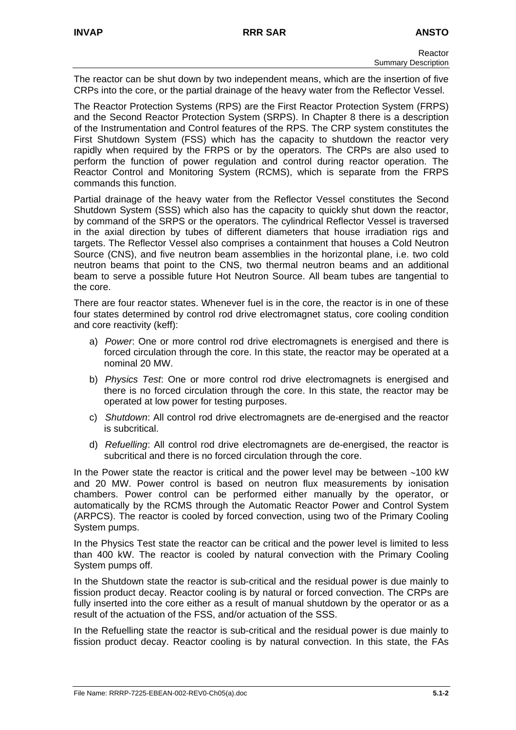The reactor can be shut down by two independent means, which are the insertion of five CRPs into the core, or the partial drainage of the heavy water from the Reflector Vessel.

The Reactor Protection Systems (RPS) are the First Reactor Protection System (FRPS) and the Second Reactor Protection System (SRPS). In Chapter 8 there is a description of the Instrumentation and Control features of the RPS. The CRP system constitutes the First Shutdown System (FSS) which has the capacity to shutdown the reactor very rapidly when required by the FRPS or by the operators. The CRPs are also used to perform the function of power regulation and control during reactor operation. The Reactor Control and Monitoring System (RCMS), which is separate from the FRPS commands this function.

Partial drainage of the heavy water from the Reflector Vessel constitutes the Second Shutdown System (SSS) which also has the capacity to quickly shut down the reactor, by command of the SRPS or the operators. The cylindrical Reflector Vessel is traversed in the axial direction by tubes of different diameters that house irradiation rigs and targets. The Reflector Vessel also comprises a containment that houses a Cold Neutron Source (CNS), and five neutron beam assemblies in the horizontal plane, i.e. two cold neutron beams that point to the CNS, two thermal neutron beams and an additional beam to serve a possible future Hot Neutron Source. All beam tubes are tangential to the core.

There are four reactor states. Whenever fuel is in the core, the reactor is in one of these four states determined by control rod drive electromagnet status, core cooling condition and core reactivity (keff):

- a) *Power*: One or more control rod drive electromagnets is energised and there is forced circulation through the core. In this state, the reactor may be operated at a nominal 20 MW.
- b) *Physics Test*: One or more control rod drive electromagnets is energised and there is no forced circulation through the core. In this state, the reactor may be operated at low power for testing purposes.
- c) *Shutdown*: All control rod drive electromagnets are de-energised and the reactor is subcritical.
- d) *Refuelling*: All control rod drive electromagnets are de-energised, the reactor is subcritical and there is no forced circulation through the core.

In the Power state the reactor is critical and the power level may be between ∼100 kW and 20 MW. Power control is based on neutron flux measurements by ionisation chambers. Power control can be performed either manually by the operator, or automatically by the RCMS through the Automatic Reactor Power and Control System (ARPCS). The reactor is cooled by forced convection, using two of the Primary Cooling System pumps.

In the Physics Test state the reactor can be critical and the power level is limited to less than 400 kW. The reactor is cooled by natural convection with the Primary Cooling System pumps off.

In the Shutdown state the reactor is sub-critical and the residual power is due mainly to fission product decay. Reactor cooling is by natural or forced convection. The CRPs are fully inserted into the core either as a result of manual shutdown by the operator or as a result of the actuation of the FSS, and/or actuation of the SSS.

In the Refuelling state the reactor is sub-critical and the residual power is due mainly to fission product decay. Reactor cooling is by natural convection. In this state, the FAs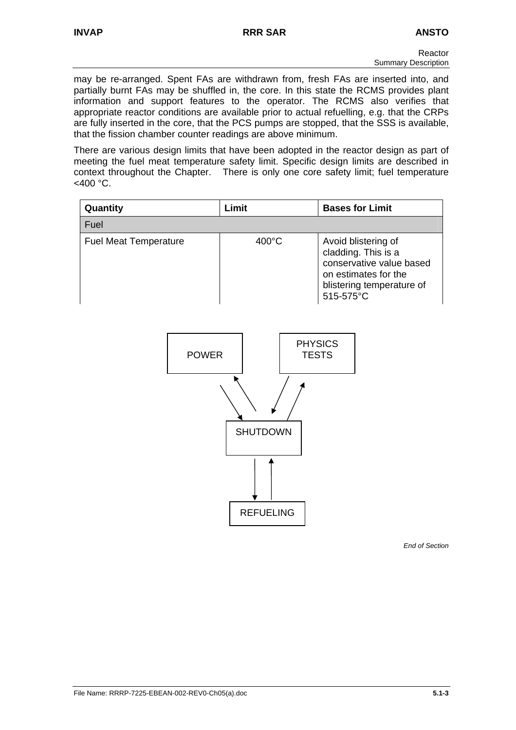may be re-arranged. Spent FAs are withdrawn from, fresh FAs are inserted into, and partially burnt FAs may be shuffled in, the core. In this state the RCMS provides plant information and support features to the operator. The RCMS also verifies that appropriate reactor conditions are available prior to actual refuelling, e.g. that the CRPs are fully inserted in the core, that the PCS pumps are stopped, that the SSS is available, that the fission chamber counter readings are above minimum.

There are various design limits that have been adopted in the reactor design as part of meeting the fuel meat temperature safety limit. Specific design limits are described in context throughout the Chapter. There is only one core safety limit; fuel temperature  $<$ 400 °C.

| Quantity                     | Limit           | <b>Bases for Limit</b>                                                                                                                   |  |  |  |
|------------------------------|-----------------|------------------------------------------------------------------------------------------------------------------------------------------|--|--|--|
| Fuel                         |                 |                                                                                                                                          |  |  |  |
| <b>Fuel Meat Temperature</b> | $400^{\circ}$ C | Avoid blistering of<br>cladding. This is a<br>conservative value based<br>on estimates for the<br>blistering temperature of<br>515-575°C |  |  |  |
| <b>POWER</b>                 | <b>TESTS</b>    | <b>PHYSICS</b>                                                                                                                           |  |  |  |
| <b>SHUTDOWN</b>              |                 |                                                                                                                                          |  |  |  |

REFUELING

*End of Section*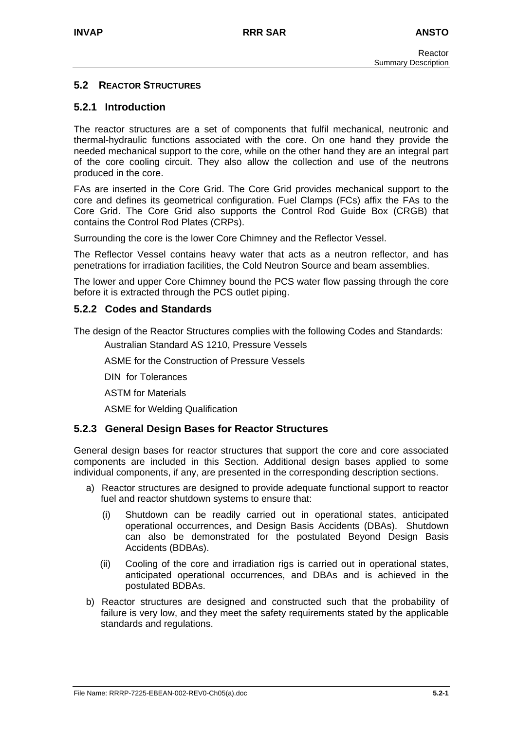# **5.2 REACTOR STRUCTURES**

# **5.2.1 Introduction**

The reactor structures are a set of components that fulfil mechanical, neutronic and thermal-hydraulic functions associated with the core. On one hand they provide the needed mechanical support to the core, while on the other hand they are an integral part of the core cooling circuit. They also allow the collection and use of the neutrons produced in the core.

FAs are inserted in the Core Grid. The Core Grid provides mechanical support to the core and defines its geometrical configuration. Fuel Clamps (FCs) affix the FAs to the Core Grid. The Core Grid also supports the Control Rod Guide Box (CRGB) that contains the Control Rod Plates (CRPs).

Surrounding the core is the lower Core Chimney and the Reflector Vessel.

The Reflector Vessel contains heavy water that acts as a neutron reflector, and has penetrations for irradiation facilities, the Cold Neutron Source and beam assemblies.

The lower and upper Core Chimney bound the PCS water flow passing through the core before it is extracted through the PCS outlet piping.

# **5.2.2 Codes and Standards**

The design of the Reactor Structures complies with the following Codes and Standards:

Australian Standard AS 1210, Pressure Vessels

ASME for the Construction of Pressure Vessels

DIN for Tolerances

ASTM for Materials

ASME for Welding Qualification

## **5.2.3 General Design Bases for Reactor Structures**

General design bases for reactor structures that support the core and core associated components are included in this Section. Additional design bases applied to some individual components, if any, are presented in the corresponding description sections.

- a) Reactor structures are designed to provide adequate functional support to reactor fuel and reactor shutdown systems to ensure that:
	- (i) Shutdown can be readily carried out in operational states, anticipated operational occurrences, and Design Basis Accidents (DBAs). Shutdown can also be demonstrated for the postulated Beyond Design Basis Accidents (BDBAs).
	- (ii) Cooling of the core and irradiation rigs is carried out in operational states, anticipated operational occurrences, and DBAs and is achieved in the postulated BDBAs.
- b) Reactor structures are designed and constructed such that the probability of failure is very low, and they meet the safety requirements stated by the applicable standards and regulations.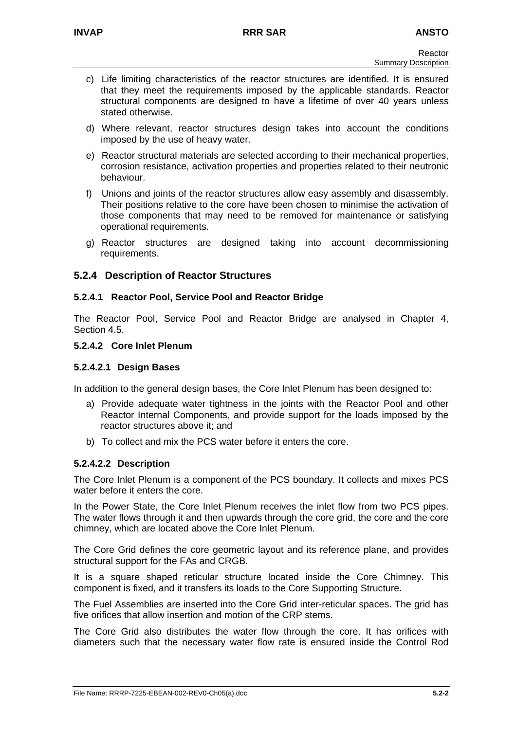- c) Life limiting characteristics of the reactor structures are identified. It is ensured that they meet the requirements imposed by the applicable standards. Reactor structural components are designed to have a lifetime of over 40 years unless stated otherwise.
- d) Where relevant, reactor structures design takes into account the conditions imposed by the use of heavy water.
- e) Reactor structural materials are selected according to their mechanical properties, corrosion resistance, activation properties and properties related to their neutronic behaviour.
- f) Unions and joints of the reactor structures allow easy assembly and disassembly. Their positions relative to the core have been chosen to minimise the activation of those components that may need to be removed for maintenance or satisfying operational requirements.
- g) Reactor structures are designed taking into account decommissioning requirements.

# **5.2.4 Description of Reactor Structures**

## **5.2.4.1 Reactor Pool, Service Pool and Reactor Bridge**

The Reactor Pool, Service Pool and Reactor Bridge are analysed in Chapter 4, Section 4.5.

#### **5.2.4.2 Core Inlet Plenum**

#### **5.2.4.2.1 Design Bases**

In addition to the general design bases, the Core Inlet Plenum has been designed to:

- a) Provide adequate water tightness in the joints with the Reactor Pool and other Reactor Internal Components, and provide support for the loads imposed by the reactor structures above it; and
- b) To collect and mix the PCS water before it enters the core.

## **5.2.4.2.2 Description**

The Core Inlet Plenum is a component of the PCS boundary. It collects and mixes PCS water before it enters the core.

In the Power State, the Core Inlet Plenum receives the inlet flow from two PCS pipes. The water flows through it and then upwards through the core grid, the core and the core chimney, which are located above the Core Inlet Plenum.

The Core Grid defines the core geometric layout and its reference plane, and provides structural support for the FAs and CRGB.

It is a square shaped reticular structure located inside the Core Chimney. This component is fixed, and it transfers its loads to the Core Supporting Structure.

The Fuel Assemblies are inserted into the Core Grid inter-reticular spaces. The grid has five orifices that allow insertion and motion of the CRP stems.

The Core Grid also distributes the water flow through the core. It has orifices with diameters such that the necessary water flow rate is ensured inside the Control Rod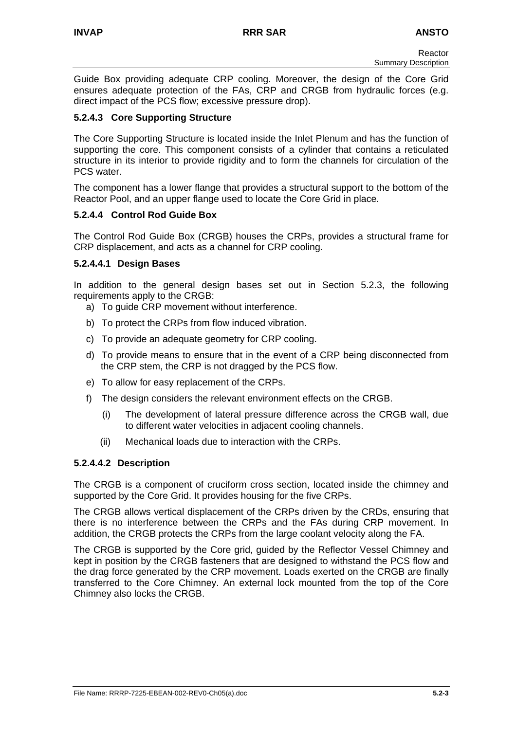Guide Box providing adequate CRP cooling. Moreover, the design of the Core Grid ensures adequate protection of the FAs, CRP and CRGB from hydraulic forces (e.g. direct impact of the PCS flow; excessive pressure drop).

# **5.2.4.3 Core Supporting Structure**

The Core Supporting Structure is located inside the Inlet Plenum and has the function of supporting the core. This component consists of a cylinder that contains a reticulated structure in its interior to provide rigidity and to form the channels for circulation of the PCS water.

The component has a lower flange that provides a structural support to the bottom of the Reactor Pool, and an upper flange used to locate the Core Grid in place.

## **5.2.4.4 Control Rod Guide Box**

The Control Rod Guide Box (CRGB) houses the CRPs, provides a structural frame for CRP displacement, and acts as a channel for CRP cooling.

## **5.2.4.4.1 Design Bases**

In addition to the general design bases set out in Section 5.2.3, the following requirements apply to the CRGB:

- a) To guide CRP movement without interference.
- b) To protect the CRPs from flow induced vibration.
- c) To provide an adequate geometry for CRP cooling.
- d) To provide means to ensure that in the event of a CRP being disconnected from the CRP stem, the CRP is not dragged by the PCS flow.
- e) To allow for easy replacement of the CRPs.
- f) The design considers the relevant environment effects on the CRGB.
	- (i) The development of lateral pressure difference across the CRGB wall, due to different water velocities in adjacent cooling channels.
	- (ii) Mechanical loads due to interaction with the CRPs.

# **5.2.4.4.2 Description**

The CRGB is a component of cruciform cross section, located inside the chimney and supported by the Core Grid. It provides housing for the five CRPs.

The CRGB allows vertical displacement of the CRPs driven by the CRDs, ensuring that there is no interference between the CRPs and the FAs during CRP movement. In addition, the CRGB protects the CRPs from the large coolant velocity along the FA.

The CRGB is supported by the Core grid, guided by the Reflector Vessel Chimney and kept in position by the CRGB fasteners that are designed to withstand the PCS flow and the drag force generated by the CRP movement. Loads exerted on the CRGB are finally transferred to the Core Chimney. An external lock mounted from the top of the Core Chimney also locks the CRGB.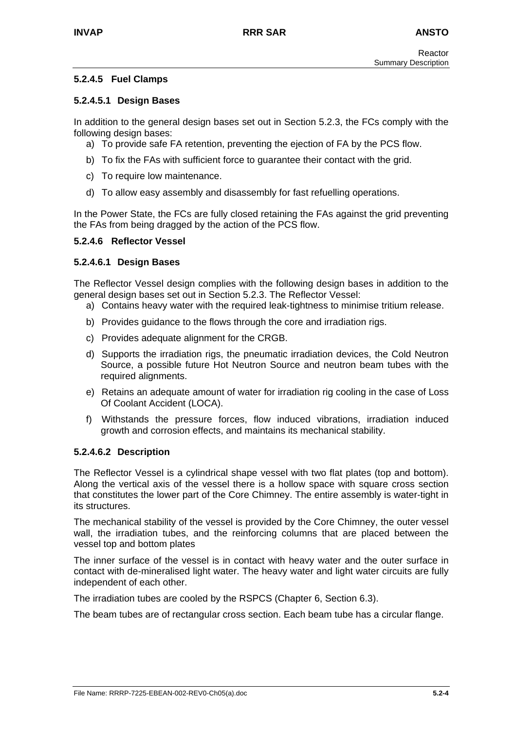# **5.2.4.5 Fuel Clamps**

## **5.2.4.5.1 Design Bases**

In addition to the general design bases set out in Section 5.2.3, the FCs comply with the following design bases:

- a) To provide safe FA retention, preventing the ejection of FA by the PCS flow.
- b) To fix the FAs with sufficient force to guarantee their contact with the grid.
- c) To require low maintenance.
- d) To allow easy assembly and disassembly for fast refuelling operations.

In the Power State, the FCs are fully closed retaining the FAs against the grid preventing the FAs from being dragged by the action of the PCS flow.

## **5.2.4.6 Reflector Vessel**

## **5.2.4.6.1 Design Bases**

The Reflector Vessel design complies with the following design bases in addition to the general design bases set out in Section 5.2.3. The Reflector Vessel:

- a) Contains heavy water with the required leak-tightness to minimise tritium release.
- b) Provides guidance to the flows through the core and irradiation rigs.
- c) Provides adequate alignment for the CRGB.
- d) Supports the irradiation rigs, the pneumatic irradiation devices, the Cold Neutron Source, a possible future Hot Neutron Source and neutron beam tubes with the required alignments.
- e) Retains an adequate amount of water for irradiation rig cooling in the case of Loss Of Coolant Accident (LOCA).
- f) Withstands the pressure forces, flow induced vibrations, irradiation induced growth and corrosion effects, and maintains its mechanical stability.

## **5.2.4.6.2 Description**

The Reflector Vessel is a cylindrical shape vessel with two flat plates (top and bottom). Along the vertical axis of the vessel there is a hollow space with square cross section that constitutes the lower part of the Core Chimney. The entire assembly is water-tight in its structures.

The mechanical stability of the vessel is provided by the Core Chimney, the outer vessel wall, the irradiation tubes, and the reinforcing columns that are placed between the vessel top and bottom plates

The inner surface of the vessel is in contact with heavy water and the outer surface in contact with de-mineralised light water. The heavy water and light water circuits are fully independent of each other.

The irradiation tubes are cooled by the RSPCS (Chapter 6, Section 6.3).

The beam tubes are of rectangular cross section. Each beam tube has a circular flange.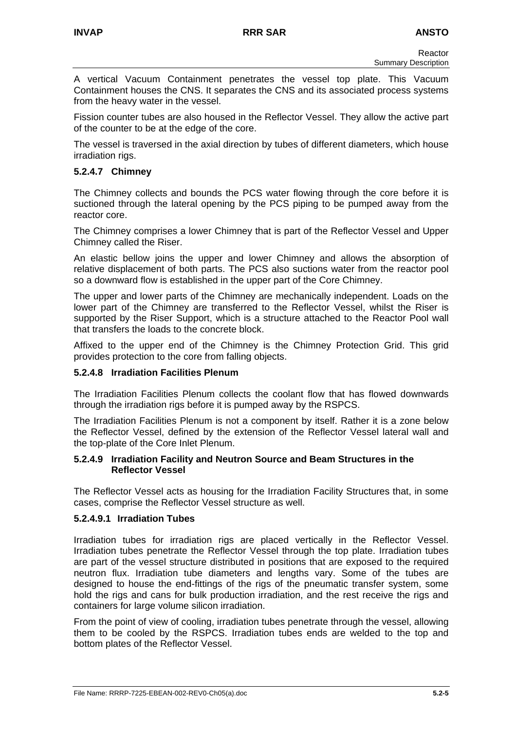A vertical Vacuum Containment penetrates the vessel top plate. This Vacuum Containment houses the CNS. It separates the CNS and its associated process systems from the heavy water in the vessel.

Fission counter tubes are also housed in the Reflector Vessel. They allow the active part of the counter to be at the edge of the core.

The vessel is traversed in the axial direction by tubes of different diameters, which house irradiation rigs.

# **5.2.4.7 Chimney**

The Chimney collects and bounds the PCS water flowing through the core before it is suctioned through the lateral opening by the PCS piping to be pumped away from the reactor core.

The Chimney comprises a lower Chimney that is part of the Reflector Vessel and Upper Chimney called the Riser.

An elastic bellow joins the upper and lower Chimney and allows the absorption of relative displacement of both parts. The PCS also suctions water from the reactor pool so a downward flow is established in the upper part of the Core Chimney.

The upper and lower parts of the Chimney are mechanically independent. Loads on the lower part of the Chimney are transferred to the Reflector Vessel, whilst the Riser is supported by the Riser Support, which is a structure attached to the Reactor Pool wall that transfers the loads to the concrete block.

Affixed to the upper end of the Chimney is the Chimney Protection Grid. This grid provides protection to the core from falling objects.

## **5.2.4.8 Irradiation Facilities Plenum**

The Irradiation Facilities Plenum collects the coolant flow that has flowed downwards through the irradiation rigs before it is pumped away by the RSPCS.

The Irradiation Facilities Plenum is not a component by itself. Rather it is a zone below the Reflector Vessel, defined by the extension of the Reflector Vessel lateral wall and the top-plate of the Core Inlet Plenum.

## **5.2.4.9 Irradiation Facility and Neutron Source and Beam Structures in the Reflector Vessel**

The Reflector Vessel acts as housing for the Irradiation Facility Structures that, in some cases, comprise the Reflector Vessel structure as well.

## **5.2.4.9.1 Irradiation Tubes**

Irradiation tubes for irradiation rigs are placed vertically in the Reflector Vessel. Irradiation tubes penetrate the Reflector Vessel through the top plate. Irradiation tubes are part of the vessel structure distributed in positions that are exposed to the required neutron flux. Irradiation tube diameters and lengths vary. Some of the tubes are designed to house the end-fittings of the rigs of the pneumatic transfer system, some hold the rigs and cans for bulk production irradiation, and the rest receive the rigs and containers for large volume silicon irradiation.

From the point of view of cooling, irradiation tubes penetrate through the vessel, allowing them to be cooled by the RSPCS. Irradiation tubes ends are welded to the top and bottom plates of the Reflector Vessel.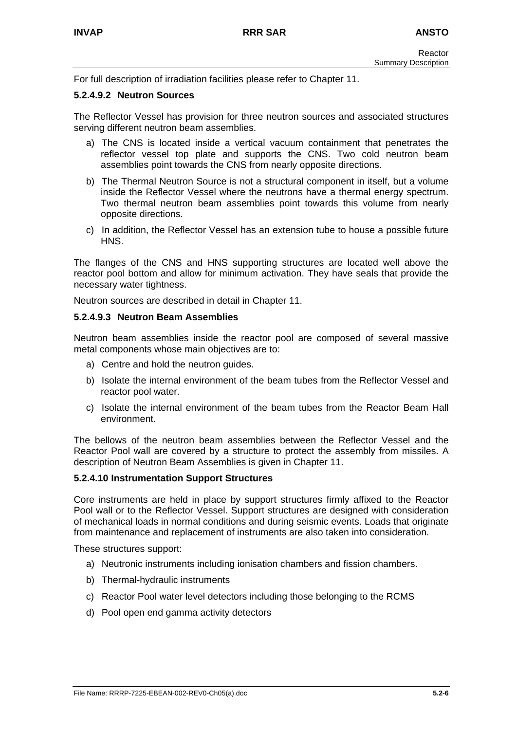For full description of irradiation facilities please refer to Chapter 11.

#### **5.2.4.9.2 Neutron Sources**

The Reflector Vessel has provision for three neutron sources and associated structures serving different neutron beam assemblies.

- a) The CNS is located inside a vertical vacuum containment that penetrates the reflector vessel top plate and supports the CNS. Two cold neutron beam assemblies point towards the CNS from nearly opposite directions.
- b) The Thermal Neutron Source is not a structural component in itself, but a volume inside the Reflector Vessel where the neutrons have a thermal energy spectrum. Two thermal neutron beam assemblies point towards this volume from nearly opposite directions.
- c) In addition, the Reflector Vessel has an extension tube to house a possible future HNS.

The flanges of the CNS and HNS supporting structures are located well above the reactor pool bottom and allow for minimum activation. They have seals that provide the necessary water tightness.

Neutron sources are described in detail in Chapter 11.

#### **5.2.4.9.3 Neutron Beam Assemblies**

Neutron beam assemblies inside the reactor pool are composed of several massive metal components whose main objectives are to:

- a) Centre and hold the neutron guides.
- b) Isolate the internal environment of the beam tubes from the Reflector Vessel and reactor pool water.
- c) Isolate the internal environment of the beam tubes from the Reactor Beam Hall environment.

The bellows of the neutron beam assemblies between the Reflector Vessel and the Reactor Pool wall are covered by a structure to protect the assembly from missiles. A description of Neutron Beam Assemblies is given in Chapter 11.

#### **5.2.4.10 Instrumentation Support Structures**

Core instruments are held in place by support structures firmly affixed to the Reactor Pool wall or to the Reflector Vessel. Support structures are designed with consideration of mechanical loads in normal conditions and during seismic events. Loads that originate from maintenance and replacement of instruments are also taken into consideration.

These structures support:

- a) Neutronic instruments including ionisation chambers and fission chambers.
- b) Thermal-hydraulic instruments
- c) Reactor Pool water level detectors including those belonging to the RCMS
- d) Pool open end gamma activity detectors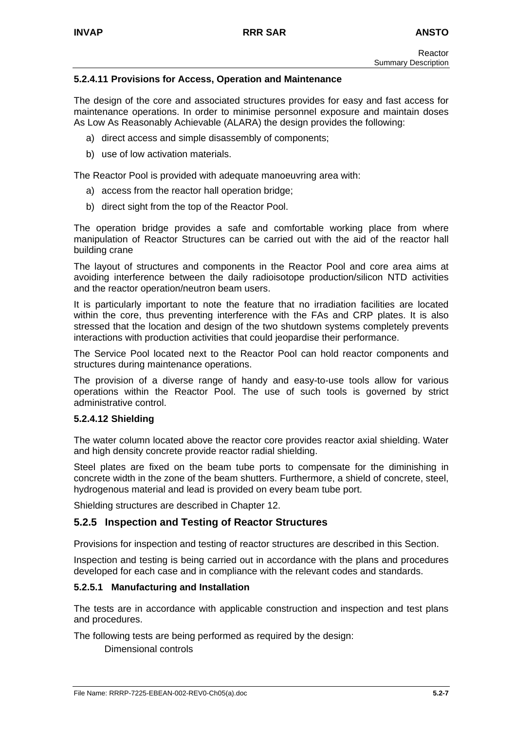# **5.2.4.11 Provisions for Access, Operation and Maintenance**

The design of the core and associated structures provides for easy and fast access for maintenance operations. In order to minimise personnel exposure and maintain doses As Low As Reasonably Achievable (ALARA) the design provides the following:

- a) direct access and simple disassembly of components;
- b) use of low activation materials.

The Reactor Pool is provided with adequate manoeuvring area with:

- a) access from the reactor hall operation bridge;
- b) direct sight from the top of the Reactor Pool.

The operation bridge provides a safe and comfortable working place from where manipulation of Reactor Structures can be carried out with the aid of the reactor hall building crane

The layout of structures and components in the Reactor Pool and core area aims at avoiding interference between the daily radioisotope production/silicon NTD activities and the reactor operation/neutron beam users.

It is particularly important to note the feature that no irradiation facilities are located within the core, thus preventing interference with the FAs and CRP plates. It is also stressed that the location and design of the two shutdown systems completely prevents interactions with production activities that could jeopardise their performance.

The Service Pool located next to the Reactor Pool can hold reactor components and structures during maintenance operations.

The provision of a diverse range of handy and easy-to-use tools allow for various operations within the Reactor Pool. The use of such tools is governed by strict administrative control.

## **5.2.4.12 Shielding**

The water column located above the reactor core provides reactor axial shielding. Water and high density concrete provide reactor radial shielding.

Steel plates are fixed on the beam tube ports to compensate for the diminishing in concrete width in the zone of the beam shutters. Furthermore, a shield of concrete, steel, hydrogenous material and lead is provided on every beam tube port.

Shielding structures are described in Chapter 12.

# **5.2.5 Inspection and Testing of Reactor Structures**

Provisions for inspection and testing of reactor structures are described in this Section.

Inspection and testing is being carried out in accordance with the plans and procedures developed for each case and in compliance with the relevant codes and standards.

# **5.2.5.1 Manufacturing and Installation**

The tests are in accordance with applicable construction and inspection and test plans and procedures.

The following tests are being performed as required by the design:

Dimensional controls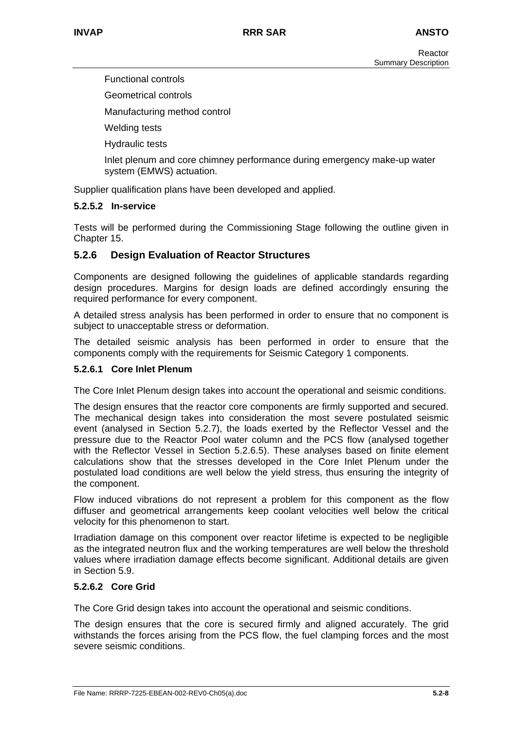Functional controls

Geometrical controls

Manufacturing method control

Welding tests

Hydraulic tests

Inlet plenum and core chimney performance during emergency make-up water system (EMWS) actuation.

Supplier qualification plans have been developed and applied.

## **5.2.5.2 In-service**

Tests will be performed during the Commissioning Stage following the outline given in Chapter 15.

# **5.2.6 Design Evaluation of Reactor Structures**

Components are designed following the guidelines of applicable standards regarding design procedures. Margins for design loads are defined accordingly ensuring the required performance for every component.

A detailed stress analysis has been performed in order to ensure that no component is subject to unacceptable stress or deformation.

The detailed seismic analysis has been performed in order to ensure that the components comply with the requirements for Seismic Category 1 components.

## **5.2.6.1 Core Inlet Plenum**

The Core Inlet Plenum design takes into account the operational and seismic conditions.

The design ensures that the reactor core components are firmly supported and secured. The mechanical design takes into consideration the most severe postulated seismic event (analysed in Section 5.2.7), the loads exerted by the Reflector Vessel and the pressure due to the Reactor Pool water column and the PCS flow (analysed together with the Reflector Vessel in Section 5.2.6.5). These analyses based on finite element calculations show that the stresses developed in the Core Inlet Plenum under the postulated load conditions are well below the yield stress, thus ensuring the integrity of the component.

Flow induced vibrations do not represent a problem for this component as the flow diffuser and geometrical arrangements keep coolant velocities well below the critical velocity for this phenomenon to start.

Irradiation damage on this component over reactor lifetime is expected to be negligible as the integrated neutron flux and the working temperatures are well below the threshold values where irradiation damage effects become significant. Additional details are given in Section 5.9.

## **5.2.6.2 Core Grid**

The Core Grid design takes into account the operational and seismic conditions.

The design ensures that the core is secured firmly and aligned accurately. The grid withstands the forces arising from the PCS flow, the fuel clamping forces and the most severe seismic conditions.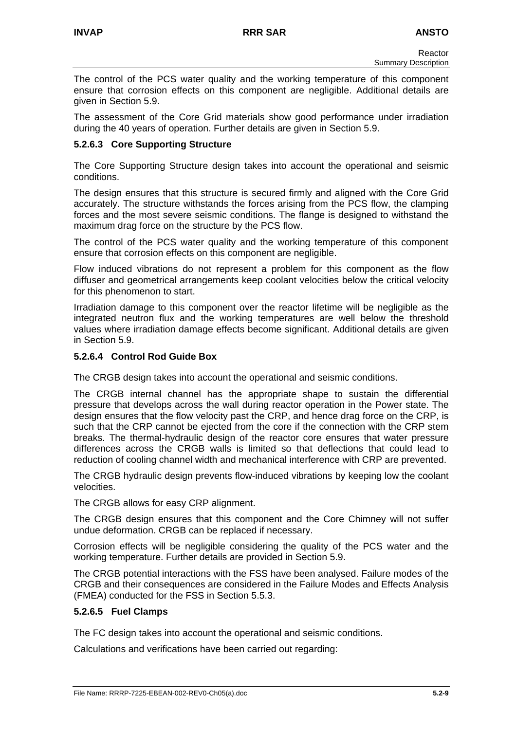The control of the PCS water quality and the working temperature of this component ensure that corrosion effects on this component are negligible. Additional details are given in Section 5.9.

The assessment of the Core Grid materials show good performance under irradiation during the 40 years of operation. Further details are given in Section 5.9.

## **5.2.6.3 Core Supporting Structure**

The Core Supporting Structure design takes into account the operational and seismic conditions.

The design ensures that this structure is secured firmly and aligned with the Core Grid accurately. The structure withstands the forces arising from the PCS flow, the clamping forces and the most severe seismic conditions. The flange is designed to withstand the maximum drag force on the structure by the PCS flow.

The control of the PCS water quality and the working temperature of this component ensure that corrosion effects on this component are negligible.

Flow induced vibrations do not represent a problem for this component as the flow diffuser and geometrical arrangements keep coolant velocities below the critical velocity for this phenomenon to start.

Irradiation damage to this component over the reactor lifetime will be negligible as the integrated neutron flux and the working temperatures are well below the threshold values where irradiation damage effects become significant. Additional details are given in Section 5.9.

# **5.2.6.4 Control Rod Guide Box**

The CRGB design takes into account the operational and seismic conditions.

The CRGB internal channel has the appropriate shape to sustain the differential pressure that develops across the wall during reactor operation in the Power state. The design ensures that the flow velocity past the CRP, and hence drag force on the CRP, is such that the CRP cannot be ejected from the core if the connection with the CRP stem breaks. The thermal-hydraulic design of the reactor core ensures that water pressure differences across the CRGB walls is limited so that deflections that could lead to reduction of cooling channel width and mechanical interference with CRP are prevented.

The CRGB hydraulic design prevents flow-induced vibrations by keeping low the coolant velocities.

The CRGB allows for easy CRP alignment.

The CRGB design ensures that this component and the Core Chimney will not suffer undue deformation. CRGB can be replaced if necessary.

Corrosion effects will be negligible considering the quality of the PCS water and the working temperature. Further details are provided in Section 5.9.

The CRGB potential interactions with the FSS have been analysed. Failure modes of the CRGB and their consequences are considered in the Failure Modes and Effects Analysis (FMEA) conducted for the FSS in Section 5.5.3.

## **5.2.6.5 Fuel Clamps**

The FC design takes into account the operational and seismic conditions.

Calculations and verifications have been carried out regarding: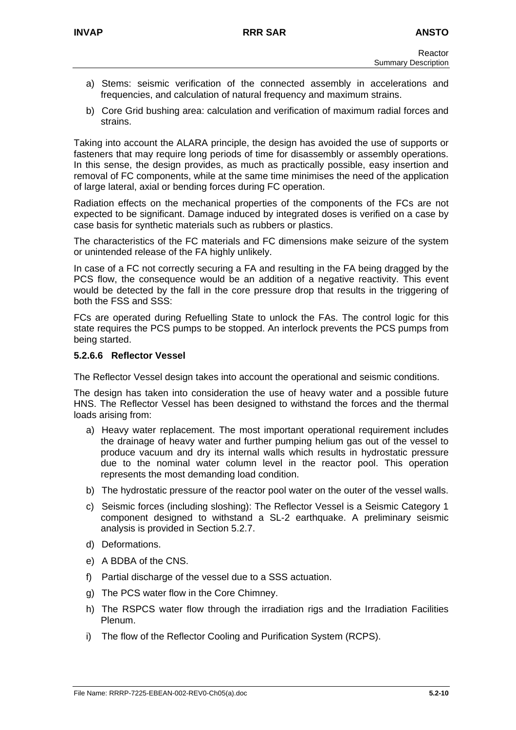- a) Stems: seismic verification of the connected assembly in accelerations and frequencies, and calculation of natural frequency and maximum strains.
- b) Core Grid bushing area: calculation and verification of maximum radial forces and strains.

Taking into account the ALARA principle, the design has avoided the use of supports or fasteners that may require long periods of time for disassembly or assembly operations. In this sense, the design provides, as much as practically possible, easy insertion and removal of FC components, while at the same time minimises the need of the application of large lateral, axial or bending forces during FC operation.

Radiation effects on the mechanical properties of the components of the FCs are not expected to be significant. Damage induced by integrated doses is verified on a case by case basis for synthetic materials such as rubbers or plastics.

The characteristics of the FC materials and FC dimensions make seizure of the system or unintended release of the FA highly unlikely.

In case of a FC not correctly securing a FA and resulting in the FA being dragged by the PCS flow, the consequence would be an addition of a negative reactivity. This event would be detected by the fall in the core pressure drop that results in the triggering of both the FSS and SSS:

FCs are operated during Refuelling State to unlock the FAs. The control logic for this state requires the PCS pumps to be stopped. An interlock prevents the PCS pumps from being started.

## **5.2.6.6 Reflector Vessel**

The Reflector Vessel design takes into account the operational and seismic conditions.

The design has taken into consideration the use of heavy water and a possible future HNS. The Reflector Vessel has been designed to withstand the forces and the thermal loads arising from:

- a) Heavy water replacement. The most important operational requirement includes the drainage of heavy water and further pumping helium gas out of the vessel to produce vacuum and dry its internal walls which results in hydrostatic pressure due to the nominal water column level in the reactor pool. This operation represents the most demanding load condition.
- b) The hydrostatic pressure of the reactor pool water on the outer of the vessel walls.
- c) Seismic forces (including sloshing): The Reflector Vessel is a Seismic Category 1 component designed to withstand a SL-2 earthquake. A preliminary seismic analysis is provided in Section 5.2.7.
- d) Deformations.
- e) A BDBA of the CNS.
- f) Partial discharge of the vessel due to a SSS actuation.
- g) The PCS water flow in the Core Chimney.
- h) The RSPCS water flow through the irradiation rigs and the Irradiation Facilities Plenum.
- i) The flow of the Reflector Cooling and Purification System (RCPS).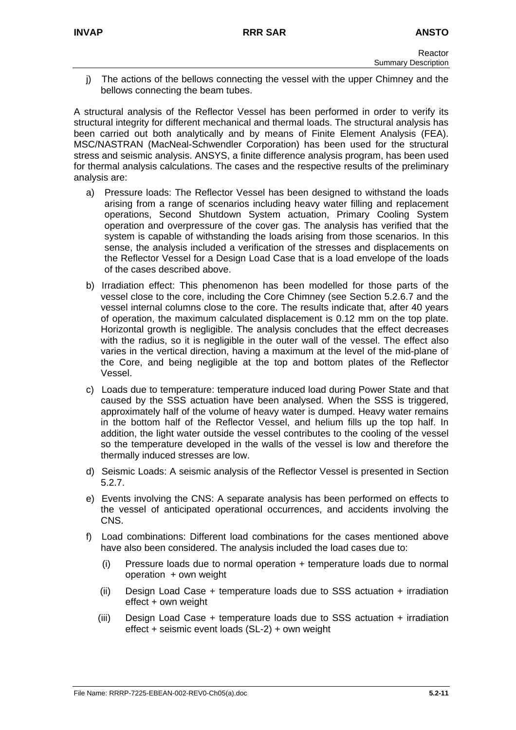j) The actions of the bellows connecting the vessel with the upper Chimney and the bellows connecting the beam tubes.

A structural analysis of the Reflector Vessel has been performed in order to verify its structural integrity for different mechanical and thermal loads. The structural analysis has been carried out both analytically and by means of Finite Element Analysis (FEA). MSC/NASTRAN (MacNeal-Schwendler Corporation) has been used for the structural stress and seismic analysis. ANSYS, a finite difference analysis program, has been used for thermal analysis calculations. The cases and the respective results of the preliminary analysis are:

- a) Pressure loads: The Reflector Vessel has been designed to withstand the loads arising from a range of scenarios including heavy water filling and replacement operations, Second Shutdown System actuation, Primary Cooling System operation and overpressure of the cover gas. The analysis has verified that the system is capable of withstanding the loads arising from those scenarios. In this sense, the analysis included a verification of the stresses and displacements on the Reflector Vessel for a Design Load Case that is a load envelope of the loads of the cases described above.
- b) Irradiation effect: This phenomenon has been modelled for those parts of the vessel close to the core, including the Core Chimney (see Section 5.2.6.7 and the vessel internal columns close to the core. The results indicate that, after 40 years of operation, the maximum calculated displacement is 0.12 mm on the top plate. Horizontal growth is negligible. The analysis concludes that the effect decreases with the radius, so it is negligible in the outer wall of the vessel. The effect also varies in the vertical direction, having a maximum at the level of the mid-plane of the Core, and being negligible at the top and bottom plates of the Reflector Vessel.
- c) Loads due to temperature: temperature induced load during Power State and that caused by the SSS actuation have been analysed. When the SSS is triggered, approximately half of the volume of heavy water is dumped. Heavy water remains in the bottom half of the Reflector Vessel, and helium fills up the top half. In addition, the light water outside the vessel contributes to the cooling of the vessel so the temperature developed in the walls of the vessel is low and therefore the thermally induced stresses are low.
- d) Seismic Loads: A seismic analysis of the Reflector Vessel is presented in Section 5.2.7.
- e) Events involving the CNS: A separate analysis has been performed on effects to the vessel of anticipated operational occurrences, and accidents involving the CNS.
- f) Load combinations: Different load combinations for the cases mentioned above have also been considered. The analysis included the load cases due to:
	- (i) Pressure loads due to normal operation + temperature loads due to normal operation + own weight
	- (ii) Design Load Case + temperature loads due to SSS actuation + irradiation effect + own weight
	- (iii) Design Load Case + temperature loads due to SSS actuation + irradiation effect + seismic event loads (SL-2) + own weight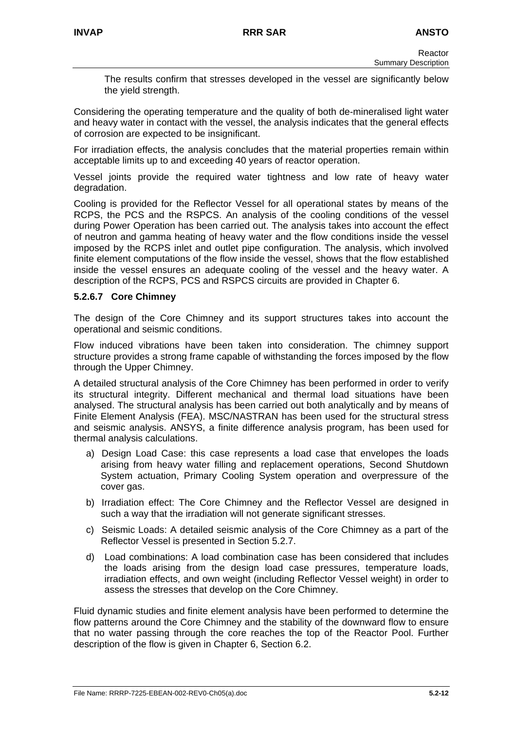The results confirm that stresses developed in the vessel are significantly below the yield strength.

Considering the operating temperature and the quality of both de-mineralised light water and heavy water in contact with the vessel, the analysis indicates that the general effects of corrosion are expected to be insignificant.

For irradiation effects, the analysis concludes that the material properties remain within acceptable limits up to and exceeding 40 years of reactor operation.

Vessel joints provide the required water tightness and low rate of heavy water degradation.

Cooling is provided for the Reflector Vessel for all operational states by means of the RCPS, the PCS and the RSPCS. An analysis of the cooling conditions of the vessel during Power Operation has been carried out. The analysis takes into account the effect of neutron and gamma heating of heavy water and the flow conditions inside the vessel imposed by the RCPS inlet and outlet pipe configuration. The analysis, which involved finite element computations of the flow inside the vessel, shows that the flow established inside the vessel ensures an adequate cooling of the vessel and the heavy water. A description of the RCPS, PCS and RSPCS circuits are provided in Chapter 6.

## **5.2.6.7 Core Chimney**

The design of the Core Chimney and its support structures takes into account the operational and seismic conditions.

Flow induced vibrations have been taken into consideration. The chimney support structure provides a strong frame capable of withstanding the forces imposed by the flow through the Upper Chimney.

A detailed structural analysis of the Core Chimney has been performed in order to verify its structural integrity. Different mechanical and thermal load situations have been analysed. The structural analysis has been carried out both analytically and by means of Finite Element Analysis (FEA). MSC/NASTRAN has been used for the structural stress and seismic analysis. ANSYS, a finite difference analysis program, has been used for thermal analysis calculations.

- a) Design Load Case: this case represents a load case that envelopes the loads arising from heavy water filling and replacement operations, Second Shutdown System actuation, Primary Cooling System operation and overpressure of the cover gas.
- b) Irradiation effect: The Core Chimney and the Reflector Vessel are designed in such a way that the irradiation will not generate significant stresses.
- c) Seismic Loads: A detailed seismic analysis of the Core Chimney as a part of the Reflector Vessel is presented in Section 5.2.7.
- d) Load combinations: A load combination case has been considered that includes the loads arising from the design load case pressures, temperature loads, irradiation effects, and own weight (including Reflector Vessel weight) in order to assess the stresses that develop on the Core Chimney.

Fluid dynamic studies and finite element analysis have been performed to determine the flow patterns around the Core Chimney and the stability of the downward flow to ensure that no water passing through the core reaches the top of the Reactor Pool. Further description of the flow is given in Chapter 6, Section 6.2.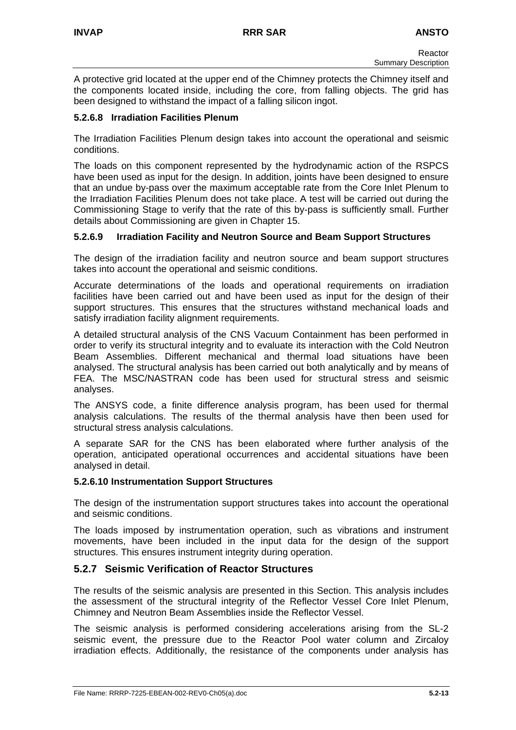A protective grid located at the upper end of the Chimney protects the Chimney itself and the components located inside, including the core, from falling objects. The grid has been designed to withstand the impact of a falling silicon ingot.

# **5.2.6.8 Irradiation Facilities Plenum**

The Irradiation Facilities Plenum design takes into account the operational and seismic conditions.

The loads on this component represented by the hydrodynamic action of the RSPCS have been used as input for the design. In addition, joints have been designed to ensure that an undue by-pass over the maximum acceptable rate from the Core Inlet Plenum to the Irradiation Facilities Plenum does not take place. A test will be carried out during the Commissioning Stage to verify that the rate of this by-pass is sufficiently small. Further details about Commissioning are given in Chapter 15.

# **5.2.6.9 Irradiation Facility and Neutron Source and Beam Support Structures**

The design of the irradiation facility and neutron source and beam support structures takes into account the operational and seismic conditions.

Accurate determinations of the loads and operational requirements on irradiation facilities have been carried out and have been used as input for the design of their support structures. This ensures that the structures withstand mechanical loads and satisfy irradiation facility alignment requirements.

A detailed structural analysis of the CNS Vacuum Containment has been performed in order to verify its structural integrity and to evaluate its interaction with the Cold Neutron Beam Assemblies. Different mechanical and thermal load situations have been analysed. The structural analysis has been carried out both analytically and by means of FEA. The MSC/NASTRAN code has been used for structural stress and seismic analyses.

The ANSYS code, a finite difference analysis program, has been used for thermal analysis calculations. The results of the thermal analysis have then been used for structural stress analysis calculations.

A separate SAR for the CNS has been elaborated where further analysis of the operation, anticipated operational occurrences and accidental situations have been analysed in detail.

## **5.2.6.10 Instrumentation Support Structures**

The design of the instrumentation support structures takes into account the operational and seismic conditions.

The loads imposed by instrumentation operation, such as vibrations and instrument movements, have been included in the input data for the design of the support structures. This ensures instrument integrity during operation.

# **5.2.7 Seismic Verification of Reactor Structures**

The results of the seismic analysis are presented in this Section. This analysis includes the assessment of the structural integrity of the Reflector Vessel Core Inlet Plenum, Chimney and Neutron Beam Assemblies inside the Reflector Vessel.

The seismic analysis is performed considering accelerations arising from the SL-2 seismic event, the pressure due to the Reactor Pool water column and Zircaloy irradiation effects. Additionally, the resistance of the components under analysis has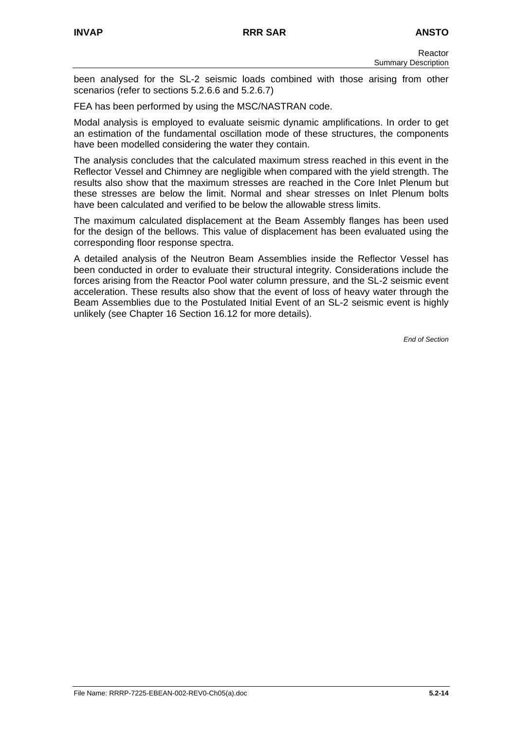been analysed for the SL-2 seismic loads combined with those arising from other scenarios (refer to sections 5.2.6.6 and 5.2.6.7)

FEA has been performed by using the MSC/NASTRAN code.

Modal analysis is employed to evaluate seismic dynamic amplifications. In order to get an estimation of the fundamental oscillation mode of these structures, the components have been modelled considering the water they contain.

The analysis concludes that the calculated maximum stress reached in this event in the Reflector Vessel and Chimney are negligible when compared with the yield strength. The results also show that the maximum stresses are reached in the Core Inlet Plenum but these stresses are below the limit. Normal and shear stresses on Inlet Plenum bolts have been calculated and verified to be below the allowable stress limits.

The maximum calculated displacement at the Beam Assembly flanges has been used for the design of the bellows. This value of displacement has been evaluated using the corresponding floor response spectra.

A detailed analysis of the Neutron Beam Assemblies inside the Reflector Vessel has been conducted in order to evaluate their structural integrity. Considerations include the forces arising from the Reactor Pool water column pressure, and the SL-2 seismic event acceleration. These results also show that the event of loss of heavy water through the Beam Assemblies due to the Postulated Initial Event of an SL-2 seismic event is highly unlikely (see Chapter 16 Section 16.12 for more details).

*End of Section*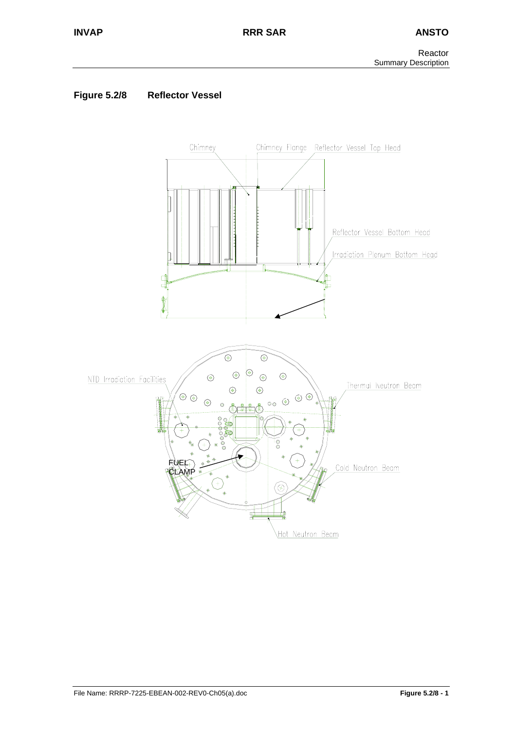# **Figure 5.2/8 Reflector Vessel**

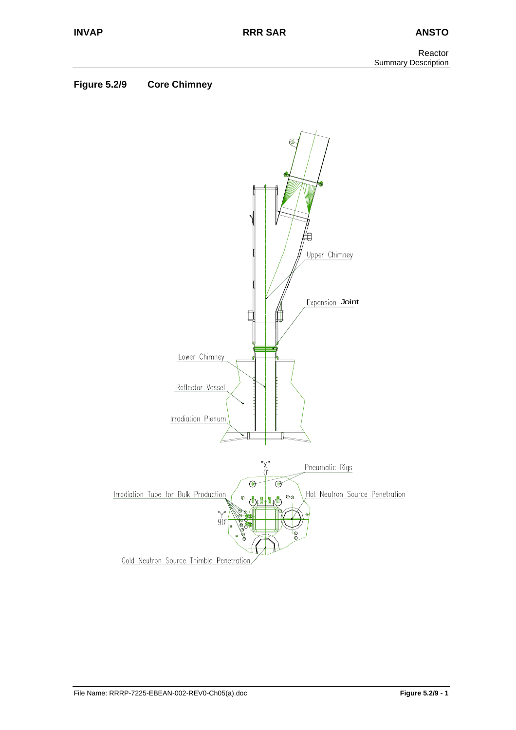# **Figure 5.2/9 Core Chimney**